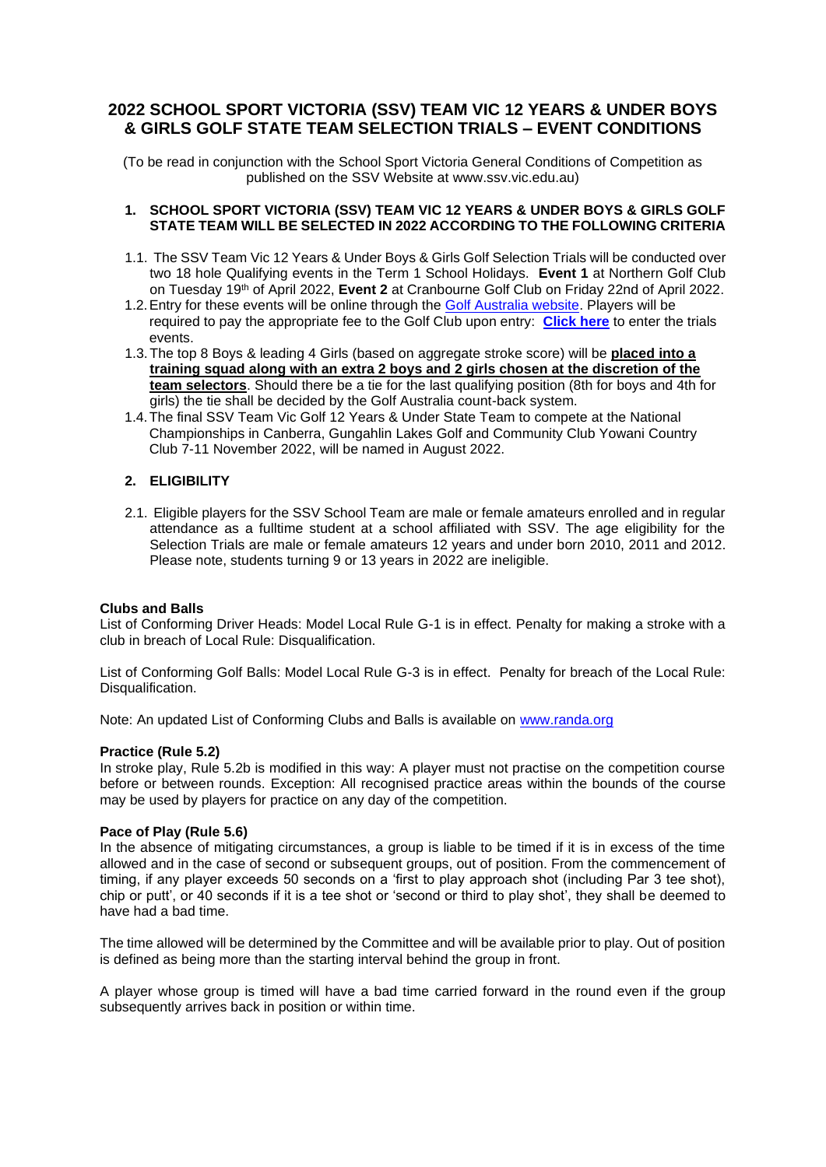# **2022 SCHOOL SPORT VICTORIA (SSV) TEAM VIC 12 YEARS & UNDER BOYS & GIRLS GOLF STATE TEAM SELECTION TRIALS – EVENT CONDITIONS**

(To be read in conjunction with the School Sport Victoria General Conditions of Competition as published on the SSV Website at www.ssv.vic.edu.au)

## **1. SCHOOL SPORT VICTORIA (SSV) TEAM VIC 12 YEARS & UNDER BOYS & GIRLS GOLF STATE TEAM WILL BE SELECTED IN 2022 ACCORDING TO THE FOLLOWING CRITERIA**

- 1.1. The SSV Team Vic 12 Years & Under Boys & Girls Golf Selection Trials will be conducted over two 18 hole Qualifying events in the Term 1 School Holidays. **Event 1** at Northern Golf Club on Tuesday 19th of April 2022, **Event 2** at Cranbourne Golf Club on Friday 22nd of April 2022.
- 1.2. Entry for these events will be online through the **Golf Australia website**. Players will be required to pay the appropriate fee to the Golf Club upon entry: **[Click here](https://www.golf.org.au/events#/customer/1090/schedule/2022/10673)** to enter the trials events.
- 1.3.The top 8 Boys & leading 4 Girls (based on aggregate stroke score) will be **placed into a training squad along with an extra 2 boys and 2 girls chosen at the discretion of the team selectors**. Should there be a tie for the last qualifying position (8th for boys and 4th for girls) the tie shall be decided by the Golf Australia count-back system.
- 1.4.The final SSV Team Vic Golf 12 Years & Under State Team to compete at the National Championships in Canberra, Gungahlin Lakes Golf and Community Club Yowani Country Club 7-11 November 2022, will be named in August 2022.

# **2. ELIGIBILITY**

2.1. Eligible players for the SSV School Team are male or female amateurs enrolled and in regular attendance as a fulltime student at a school affiliated with SSV. The age eligibility for the Selection Trials are male or female amateurs 12 years and under born 2010, 2011 and 2012. Please note, students turning 9 or 13 years in 2022 are ineligible.

# **Clubs and Balls**

List of Conforming Driver Heads: Model Local Rule G-1 is in effect. Penalty for making a stroke with a club in breach of Local Rule: Disqualification.

List of Conforming Golf Balls: Model Local Rule G-3 is in effect. Penalty for breach of the Local Rule: Disqualification.

Note: An updated List of Conforming Clubs and Balls is available on [www.randa.org](http://www.randa.org/)

### **Practice (Rule 5.2)**

In stroke play, Rule 5.2b is modified in this way: A player must not practise on the competition course before or between rounds. Exception: All recognised practice areas within the bounds of the course may be used by players for practice on any day of the competition.

### **Pace of Play (Rule 5.6)**

In the absence of mitigating circumstances, a group is liable to be timed if it is in excess of the time allowed and in the case of second or subsequent groups, out of position. From the commencement of timing, if any player exceeds 50 seconds on a 'first to play approach shot (including Par 3 tee shot), chip or putt', or 40 seconds if it is a tee shot or 'second or third to play shot', they shall be deemed to have had a bad time.

The time allowed will be determined by the Committee and will be available prior to play. Out of position is defined as being more than the starting interval behind the group in front.

A player whose group is timed will have a bad time carried forward in the round even if the group subsequently arrives back in position or within time.